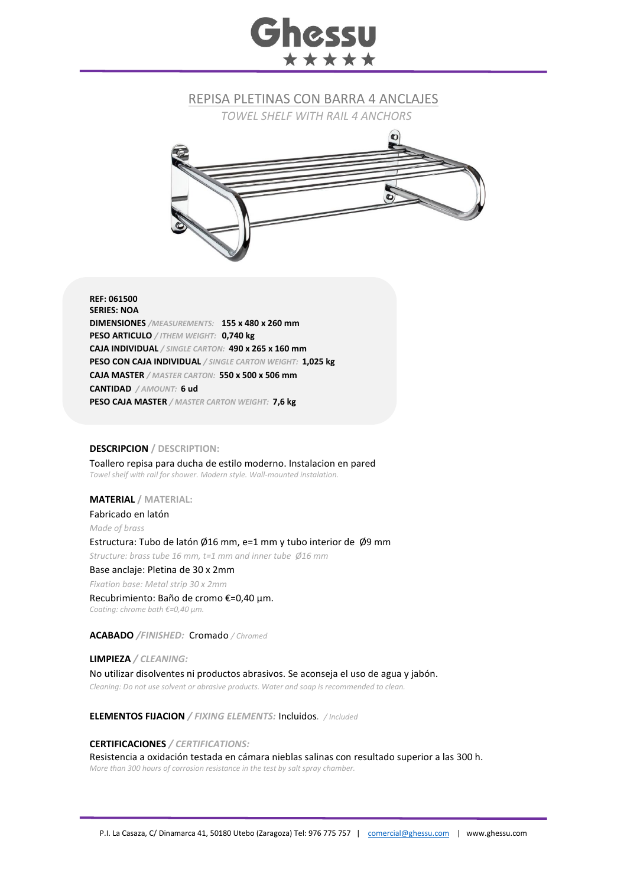# **Ghessu** \*\*\*\*\*

### REPISA PLETINAS CON BARRA 4 ANCLAJES

*TOWEL SHELF WITH RAIL 4 ANCHORS*



#### **REF: 061500 SERIES: NOA DIMENSIONES** */MEASUREMENTS:* **155 x 480 x 260 mm PESO ARTICULO** */ ITHEM WEIGHT:* **0,740 kg CAJA INDIVIDUAL** */ SINGLE CARTON:* **490 x 265 x 160 mm PESO CON CAJA INDIVIDUAL** */ SINGLE CARTON WEIGHT:* **1,025 kg CAJA MASTER** */ MASTER CARTON:* **550 x 500 x 506 mm CANTIDAD** */ AMOUNT:* **6 ud PESO CAJA MASTER** */ MASTER CARTON WEIGHT:* **7,6 kg**

#### **DESCRIPCION / DESCRIPTION:**

Toallero repisa para ducha de estilo moderno. Instalacion en pared *Towel shelf with rail for shower. Modern style. Wall-mounted instalation.*

#### **MATERIAL / MATERIAL:**

Fabricado en latón *Made of brass* Estructura: Tubo de latón Ø16 mm, e=1 mm y tubo interior de Ø9 mm *Structure: brass tube 16 mm, t=1 mm and inner tube Ø16 mm* Base anclaje: Pletina de 30 x 2mm *Fixation base: Metal strip 30 x 2mm* Recubrimiento: Baño de cromo €=0,40 μm. *Coating: chrome bath €=0,40 μm.*

**ACABADO** */FINISHED:*Cromado */ Chromed*

**LIMPIEZA** */ CLEANING:* No utilizar disolventes ni productos abrasivos. Se aconseja el uso de agua y jabón. *Cleaning: Do not use solvent or abrasive products. Water and soap is recommended to clean.*

**ELEMENTOS FIJACION** */ FIXING ELEMENTS:* Incluidos*. / Included*

**CERTIFICACIONES** */ CERTIFICATIONS:*

Resistencia a oxidación testada en cámara nieblas salinas con resultado superior a las 300 h. *More than 300 hours of corrosion resistance in the test by salt spray chamber.*